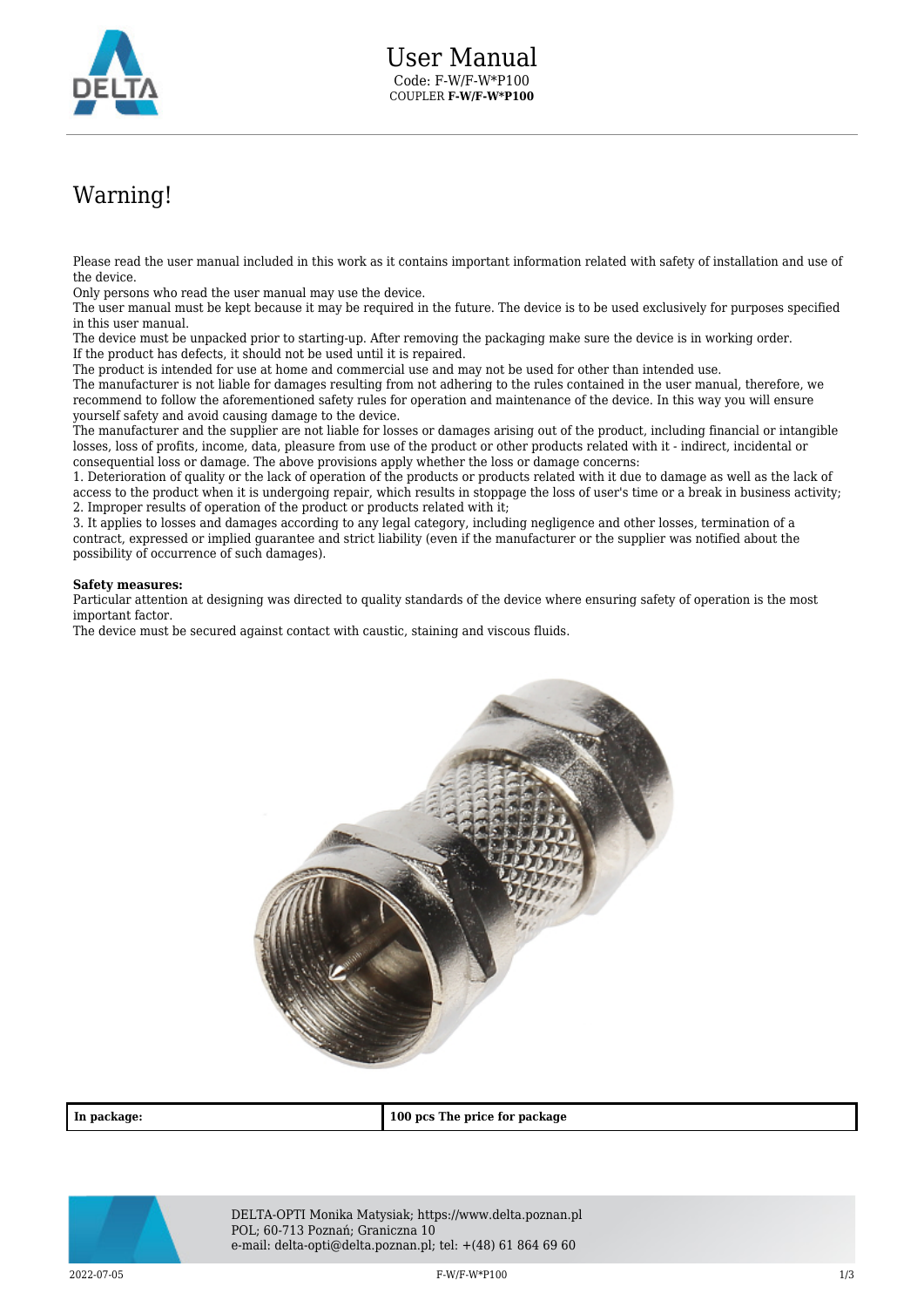

## Warning!

Please read the user manual included in this work as it contains important information related with safety of installation and use of the device.

Only persons who read the user manual may use the device.

The user manual must be kept because it may be required in the future. The device is to be used exclusively for purposes specified in this user manual.

The device must be unpacked prior to starting-up. After removing the packaging make sure the device is in working order. If the product has defects, it should not be used until it is repaired.

The product is intended for use at home and commercial use and may not be used for other than intended use.

The manufacturer is not liable for damages resulting from not adhering to the rules contained in the user manual, therefore, we recommend to follow the aforementioned safety rules for operation and maintenance of the device. In this way you will ensure yourself safety and avoid causing damage to the device.

The manufacturer and the supplier are not liable for losses or damages arising out of the product, including financial or intangible losses, loss of profits, income, data, pleasure from use of the product or other products related with it - indirect, incidental or consequential loss or damage. The above provisions apply whether the loss or damage concerns:

1. Deterioration of quality or the lack of operation of the products or products related with it due to damage as well as the lack of access to the product when it is undergoing repair, which results in stoppage the loss of user's time or a break in business activity; 2. Improper results of operation of the product or products related with it;

3. It applies to losses and damages according to any legal category, including negligence and other losses, termination of a contract, expressed or implied guarantee and strict liability (even if the manufacturer or the supplier was notified about the possibility of occurrence of such damages).

## **Safety measures:**

Particular attention at designing was directed to quality standards of the device where ensuring safety of operation is the most important factor.

The device must be secured against contact with caustic, staining and viscous fluids.



**In package: 100 pcs The price for package**



DELTA-OPTI Monika Matysiak; https://www.delta.poznan.pl POL; 60-713 Poznań; Graniczna 10 e-mail: delta-opti@delta.poznan.pl; tel: +(48) 61 864 69 60

 $F-W/F-W^*P100$  and the set of the set of the set of the set of the set of the set of the set of the set of the set of the set of the set of the set of the set of the set of the set of the set of the set of the set of the se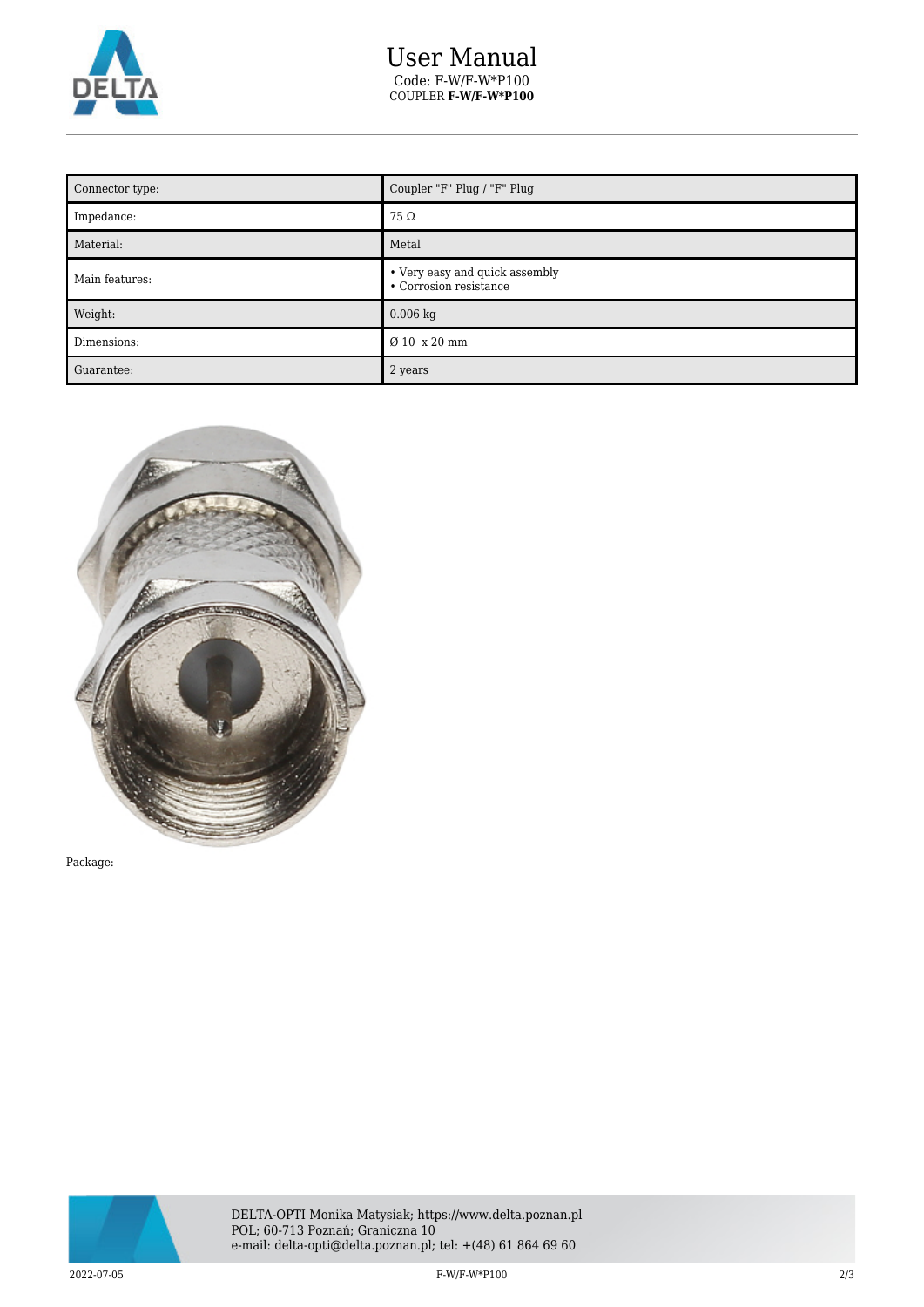

## User Manual Code: F-W/F-W\*P100 COUPLER **F-W/F-W\*P100**

| Connector type: | Coupler "F" Plug / "F" Plug                              |
|-----------------|----------------------------------------------------------|
| Impedance:      | $75\,\Omega$                                             |
| Material:       | Metal                                                    |
| Main features:  | • Very easy and quick assembly<br>• Corrosion resistance |
| Weight:         | $0.006$ kg                                               |
| Dimensions:     | Ø 10 x 20 mm                                             |
| Guarantee:      | 2 years                                                  |



Package:



2022-07-05 F-W/F-W\*P100 2/3